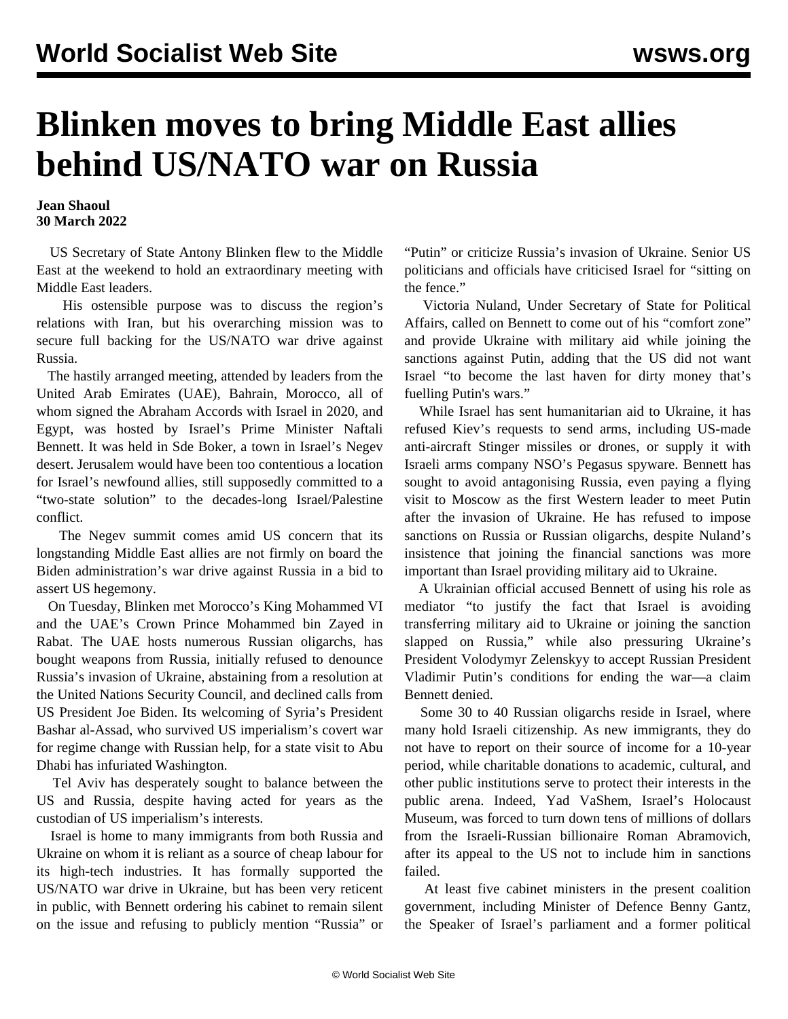## **Blinken moves to bring Middle East allies behind US/NATO war on Russia**

## **Jean Shaoul 30 March 2022**

 US Secretary of State Antony Blinken flew to the Middle East at the weekend to hold an extraordinary meeting with Middle East leaders.

 His ostensible purpose was to discuss the region's relations with Iran, but his overarching mission was to secure full backing for the US/NATO war drive against Russia.

 The hastily arranged meeting, attended by leaders from the United Arab Emirates (UAE), Bahrain, Morocco, all of whom signed the Abraham Accords with Israel in 2020, and Egypt, was hosted by Israel's Prime Minister Naftali Bennett. It was held in Sde Boker, a town in Israel's Negev desert. Jerusalem would have been too contentious a location for Israel's newfound allies, still supposedly committed to a "two-state solution" to the decades-long Israel/Palestine conflict.

 The Negev summit comes amid US concern that its longstanding Middle East allies are not firmly on board the Biden administration's war drive against Russia in a bid to assert US hegemony.

 On Tuesday, Blinken met Morocco's King Mohammed VI and the UAE's Crown Prince Mohammed bin Zayed in Rabat. The UAE hosts numerous Russian oligarchs, has bought weapons from Russia, initially refused to denounce Russia's invasion of Ukraine, abstaining from a resolution at the United Nations Security Council, and declined calls from US President Joe Biden. Its welcoming of Syria's President Bashar al-Assad, who survived US imperialism's covert war for regime change with Russian help, for a state visit to Abu Dhabi has infuriated Washington.

 Tel Aviv has desperately sought to balance between the US and Russia, despite having acted for years as the custodian of US imperialism's interests.

 Israel is home to many immigrants from both Russia and Ukraine on whom it is reliant as a source of cheap labour for its high-tech industries. It has formally supported the US/NATO war drive in Ukraine, but has been very reticent in public, with Bennett ordering his cabinet to remain silent on the issue and refusing to publicly mention "Russia" or

"Putin" or criticize Russia's invasion of Ukraine. Senior US politicians and officials have criticised Israel for "sitting on the fence."

 Victoria Nuland, Under Secretary of State for Political Affairs, called on Bennett to come out of his "comfort zone" and provide Ukraine with military aid while joining the sanctions against Putin, adding that the US did not want Israel "to become the last haven for dirty money that's fuelling Putin's wars."

 While Israel has sent humanitarian aid to Ukraine, it has refused Kiev's requests to send arms, including US-made anti-aircraft Stinger missiles or drones, or supply it with Israeli arms company NSO's Pegasus spyware. Bennett has sought to avoid antagonising Russia, even paying a flying visit to Moscow as the first Western leader to meet Putin after the invasion of Ukraine. He has refused to impose sanctions on Russia or Russian oligarchs, despite Nuland's insistence that joining the financial sanctions was more important than Israel providing military aid to Ukraine.

 A Ukrainian official accused Bennett of using his role as mediator "to justify the fact that Israel is avoiding transferring military aid to Ukraine or joining the sanction slapped on Russia," while also pressuring Ukraine's President Volodymyr Zelenskyy to accept Russian President Vladimir Putin's conditions for ending the war—a claim Bennett denied.

 Some 30 to 40 Russian oligarchs reside in Israel, where many hold Israeli citizenship. As new immigrants, they do not have to report on their source of income for a 10-year period, while charitable donations to academic, cultural, and other public institutions serve to protect their interests in the public arena. Indeed, Yad VaShem, Israel's Holocaust Museum, was forced to turn down tens of millions of dollars from the Israeli-Russian billionaire Roman Abramovich, after its appeal to the US not to include him in sanctions failed.

 At least five cabinet ministers in the present coalition government, including Minister of Defence Benny Gantz, the Speaker of Israel's parliament and a former political